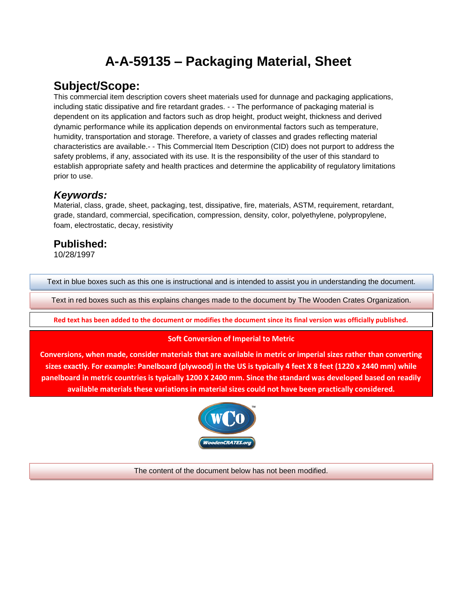# **A-A-59135 – Packaging Material, Sheet**

# **Subject/Scope:**

This commercial item description covers sheet materials used for dunnage and packaging applications, including static dissipative and fire retardant grades. - - The performance of packaging material is dependent on its application and factors such as drop height, product weight, thickness and derived dynamic performance while its application depends on environmental factors such as temperature, humidity, transportation and storage. Therefore, a variety of classes and grades reflecting material characteristics are available.- - This Commercial Item Description (CID) does not purport to address the safety problems, if any, associated with its use. It is the responsibility of the user of this standard to establish appropriate safety and health practices and determine the applicability of regulatory limitations prior to use.

### *Keywords:*

Material, class, grade, sheet, packaging, test, dissipative, fire, materials, ASTM, requirement, retardant, grade, standard, commercial, specification, compression, density, color, polyethylene, polypropylene, foam, electrostatic, decay, resistivity

## **Published:**

10/28/1997

Text in blue boxes such as this one is instructional and is intended to assist you in understanding the document.

Text in red boxes such as this explains changes made to the document by The Wooden Crates Organization.

**Red text has been added to the document or modifies the document since its final version was officially published.**

#### **Soft Conversion of Imperial to Metric**

**Conversions, when made, consider materials that are available in metric or imperial sizes rather than converting sizes exactly. For example: Panelboard (plywood) in the US is typically 4 feet X 8 feet (1220 x 2440 mm) while panelboard in metric countries is typically 1200 X 2400 mm. Since the standard was developed based on readily available materials these variations in material sizes could not have been practically considered.**



The content of the document below has not been modified.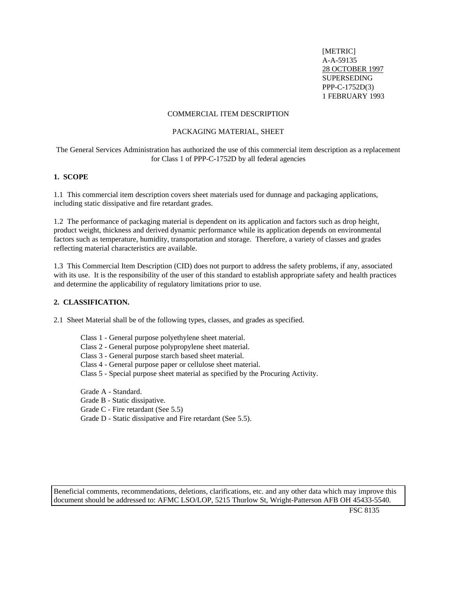[METRIC] A-A-59135 28 OCTOBER 1997 SUPERSEDING PPP-C-1752D(3) 1 FEBRUARY 1993

#### COMMERCIAL ITEM DESCRIPTION

#### PACKAGING MATERIAL, SHEET

The General Services Administration has authorized the use of this commercial item description as a replacement for Class 1 of PPP-C-1752D by all federal agencies

#### **1. SCOPE**

1.1 This commercial item description covers sheet materials used for dunnage and packaging applications, including static dissipative and fire retardant grades.

1.2 The performance of packaging material is dependent on its application and factors such as drop height, product weight, thickness and derived dynamic performance while its application depends on environmental factors such as temperature, humidity, transportation and storage. Therefore, a variety of classes and grades reflecting material characteristics are available.

1.3 This Commercial Item Description (CID) does not purport to address the safety problems, if any, associated with its use. It is the responsibility of the user of this standard to establish appropriate safety and health practices and determine the applicability of regulatory limitations prior to use.

#### **2. CLASSIFICATION.**

2.1 Sheet Material shall be of the following types, classes, and grades as specified.

- Class 1 General purpose polyethylene sheet material.
- Class 2 General purpose polypropylene sheet material.
- Class 3 General purpose starch based sheet material.
- Class 4 General purpose paper or cellulose sheet material.
- Class 5 Special purpose sheet material as specified by the Procuring Activity.

Grade A - Standard.

- Grade B Static dissipative.
- Grade C Fire retardant (See 5.5)
- Grade D Static dissipative and Fire retardant (See 5.5).

Beneficial comments, recommendations, deletions, clarifications, etc. and any other data which may improve this document should be addressed to: AFMC LSO/LOP, 5215 Thurlow St, Wright-Patterson AFB OH 45433-5540.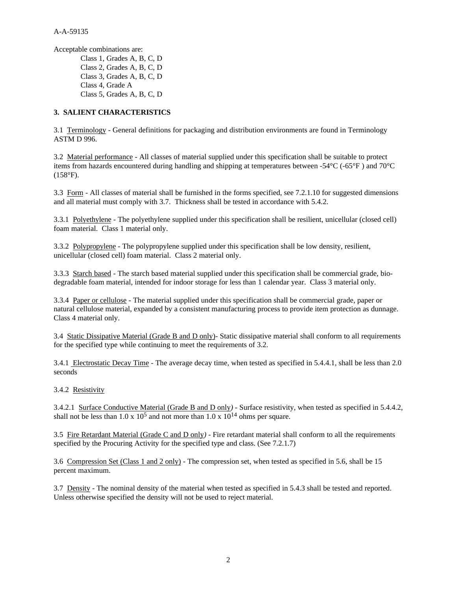Acceptable combinations are:

Class 1, Grades A, B, C, D Class 2, Grades A, B, C, D Class 3, Grades A, B, C, D Class 4, Grade A Class 5, Grades A, B, C, D

#### **3. SALIENT CHARACTERISTICS**

3.1 Terminology - General definitions for packaging and distribution environments are found in Terminology ASTM D 996.

3.2 Material performance - All classes of material supplied under this specification shall be suitable to protect items from hazards encountered during handling and shipping at temperatures between -54°C (-65°F ) and 70°C  $(158^{\circ}F).$ 

3.3 Form *-* All classes of material shall be furnished in the forms specified, see 7.2.1.10 for suggested dimensions and all material must comply with 3.7. Thickness shall be tested in accordance with 5.4.2.

3.3.1 Polyethylene - The polyethylene supplied under this specification shall be resilient, unicellular (closed cell) foam material. Class 1 material only.

3.3.2 Polypropylene - The polypropylene supplied under this specification shall be low density, resilient, unicellular (closed cell) foam material. Class 2 material only.

3.3.3 Starch based - The starch based material supplied under this specification shall be commercial grade, biodegradable foam material, intended for indoor storage for less than 1 calendar year. Class 3 material only.

3.3.4 Paper or cellulose - The material supplied under this specification shall be commercial grade, paper or natural cellulose material, expanded by a consistent manufacturing process to provide item protection as dunnage. Class 4 material only.

3.4 Static Dissipative Material (Grade B and D only)*-* Static dissipative material shall conform to all requirements for the specified type while continuing to meet the requirements of 3.2.

3.4.1 Electrostatic Decay Time *-* The average decay time, when tested as specified in 5.4.4.1, shall be less than 2.0 seconds

#### 3.4.2 Resistivity

3.4.2.1 Surface Conductive Material (Grade B and D only*)* - Surface resistivity, when tested as specified in 5.4.4.2, shall not be less than  $1.0 \times 10^5$  and not more than  $1.0 \times 10^{14}$  ohms per square.

3.5 Fire Retardant Material (Grade C and D only*) -* Fire retardant material shall conform to all the requirements specified by the Procuring Activity for the specified type and class. (See 7.2.1.7)

3.6 Compression Set (Class 1 and 2 only) *-* The compression set, when tested as specified in 5.6, shall be 15 percent maximum.

3.7 Density *-* The nominal density of the material when tested as specified in 5.4.3 shall be tested and reported. Unless otherwise specified the density will not be used to reject material.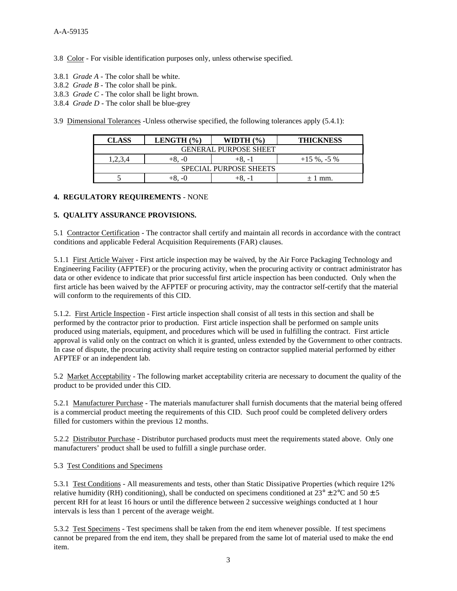3.8 Color *-* For visible identification purposes only, unless otherwise specified.

- 3.8.1 *Grade A -* The color shall be white.
- 3.8.2 *Grade B* The color shall be pink.
- 3.8.3 *Grade C -* The color shall be light brown.
- 3.8.4 *Grade D -* The color shall be blue-grey

3.9 Dimensional Tolerances -Unless otherwise specified, the following tolerances apply (5.4.1):

| CLASS                         | LENGTH $(\% )$ | WIDTH $(\% )$ | <b>THICKNESS</b> |  |  |  |  |
|-------------------------------|----------------|---------------|------------------|--|--|--|--|
| <b>GENERAL PURPOSE SHEET</b>  |                |               |                  |  |  |  |  |
| .2.3.4                        | +8. -0         | +8. -1        | $+15\%$ , -5 %   |  |  |  |  |
| <b>SPECIAL PURPOSE SHEETS</b> |                |               |                  |  |  |  |  |
|                               |                |               | + 1 mm.          |  |  |  |  |

#### **4. REGULATORY REQUIREMENTS** - NONE

#### **5. QUALITY ASSURANCE PROVISIONS.**

5.1 Contractor Certification - The contractor shall certify and maintain all records in accordance with the contract conditions and applicable Federal Acquisition Requirements (FAR) clauses.

5.1.1 First Article Waiver - First article inspection may be waived, by the Air Force Packaging Technology and Engineering Facility (AFPTEF) or the procuring activity, when the procuring activity or contract administrator has data or other evidence to indicate that prior successful first article inspection has been conducted. Only when the first article has been waived by the AFPTEF or procuring activity, may the contractor self-certify that the material will conform to the requirements of this CID.

5.1.2. First Article Inspection - First article inspection shall consist of all tests in this section and shall be performed by the contractor prior to production. First article inspection shall be performed on sample units produced using materials, equipment, and procedures which will be used in fulfilling the contract. First article approval is valid only on the contract on which it is granted, unless extended by the Government to other contracts. In case of dispute, the procuring activity shall require testing on contractor supplied material performed by either AFPTEF or an independent lab.

5.2 Market Acceptability - The following market acceptability criteria are necessary to document the quality of the product to be provided under this CID.

5.2.1 Manufacturer Purchase - The materials manufacturer shall furnish documents that the material being offered is a commercial product meeting the requirements of this CID. Such proof could be completed delivery orders filled for customers within the previous 12 months.

5.2.2 Distributor Purchase - Distributor purchased products must meet the requirements stated above. Only one manufacturers' product shall be used to fulfill a single purchase order.

#### 5.3 Test Conditions and Specimens

5.3.1 Test Conditions - All measurements and tests, other than Static Dissipative Properties (which require 12% relative humidity (RH) conditioning), shall be conducted on specimens conditioned at  $23^{\circ} \pm 2^{\circ}$ C and  $50 \pm 5$ percent RH for at least 16 hours or until the difference between 2 successive weighings conducted at 1 hour intervals is less than 1 percent of the average weight.

5.3.2 Test Specimens - Test specimens shall be taken from the end item whenever possible. If test specimens cannot be prepared from the end item, they shall be prepared from the same lot of material used to make the end item.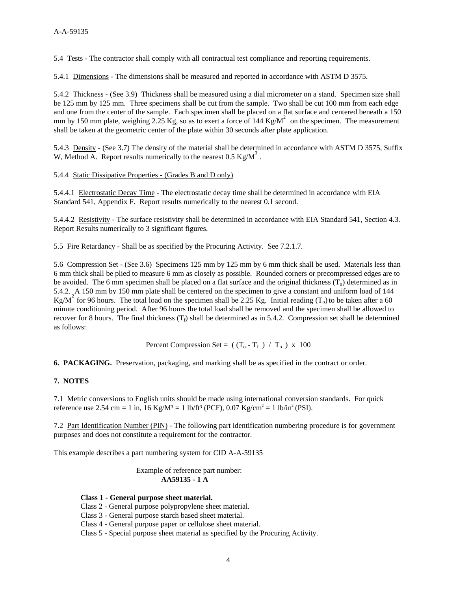5.4 Tests - The contractor shall comply with all contractual test compliance and reporting requirements.

5.4.1 Dimensions *-* The dimensions shall be measured and reported in accordance with ASTM D 3575.

5.4.2 Thickness - (See 3.9) Thickness shall be measured using a dial micrometer on a stand. Specimen size shall be 125 mm by 125 mm. Three specimens shall be cut from the sample. Two shall be cut 100 mm from each edge and one from the center of the sample. Each specimen shall be placed on a flat surface and centered beneath a 150 mm by 150 mm plate, weighing 2.25 Kg, so as to exert a force of 144 Kg/ $M^2$  on the specimen. The measurement shall be taken at the geometric center of the plate within 30 seconds after plate application.

5.4.3 Density *-* (See 3.7) The density of the material shall be determined in accordance with ASTM D 3575, Suffix W, Method A. Report results numerically to the nearest  $0.5 \text{ Kg/M}^3$ .

5.4.4 Static Dissipative Properties - (Grades B and D only)

5.4.4.1 Electrostatic Decay Time *-* The electrostatic decay time shall be determined in accordance with EIA Standard 541, Appendix F. Report results numerically to the nearest 0.1 second.

5.4.4.2 Resistivity *-* The surface resistivity shall be determined in accordance with EIA Standard 541, Section 4.3. Report Results numerically to 3 significant figures.

5.5 Fire Retardancy - Shall be as specified by the Procuring Activity. See 7.2.1.7.

5.6 Compression Set - (See 3.6) Specimens 125 mm by 125 mm by 6 mm thick shall be used. Materials less than 6 mm thick shall be plied to measure 6 mm as closely as possible. Rounded corners or precompressed edges are to be avoided. The 6 mm specimen shall be placed on a flat surface and the original thickness  $(T<sub>o</sub>)$  determined as in 5.4.2. A 150 mm by 150 mm plate shall be centered on the specimen to give a constant and uniform load of 144 Kg/M<sup>2</sup> for 96 hours. The total load on the specimen shall be 2.25 Kg. Initial reading (T<sub>o</sub>) to be taken after a 60 minute conditioning period. After 96 hours the total load shall be removed and the specimen shall be allowed to recover for 8 hours. The final thickness  $(T_f)$  shall be determined as in 5.4.2. Compression set shall be determined as follows:

Percent Compression Set =  $((T_0 - T_f) / T_0) x 100$ 

**6. PACKAGING.** Preservation, packaging, and marking shall be as specified in the contract or order.

#### **7. NOTES**

7.1 Metric conversions to English units should be made using international conversion standards. For quick reference use 2.54 cm = 1 in, 16 Kg/M<sup>3</sup> = 1 lb/ft<sup>3</sup> (PCF), 0.07 Kg/cm<sup>2</sup> = 1 lb/in<sup>2</sup> (PSI).

7.2 Part Identification Number (PIN) - The following part identification numbering procedure is for government purposes and does not constitute a requirement for the contractor.

This example describes a part numbering system for CID A-A-59135

 Example of reference part number: **AA59135 - 1 A**

#### **Class 1 - General purpose sheet material.**

Class 2 - General purpose polypropylene sheet material.

Class 3 - General purpose starch based sheet material.

Class 4 - General purpose paper or cellulose sheet material.

Class 5 - Special purpose sheet material as specified by the Procuring Activity.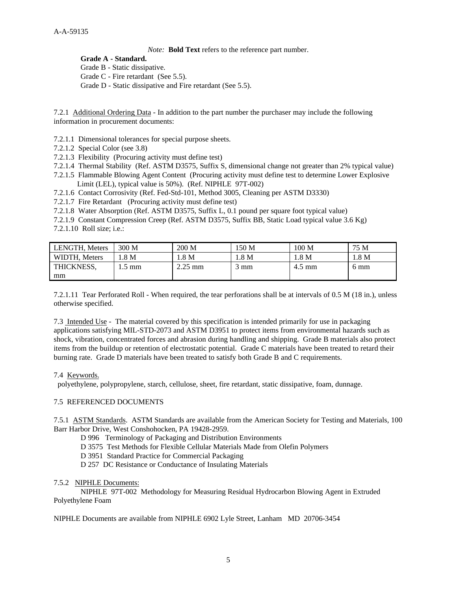*Note:* **Bold Text** refers to the reference part number.

**Grade A - Standard.**

Grade B - Static dissipative.

Grade C - Fire retardant (See 5.5).

Grade D - Static dissipative and Fire retardant (See 5.5).

7.2.1 Additional Ordering Data - In addition to the part number the purchaser may include the following information in procurement documents:

7.2.1.1 Dimensional tolerances for special purpose sheets.

7.2.1.2 Special Color (see 3.8)

7.2.1.3 Flexibility (Procuring activity must define test)

7.2.1.4 Thermal Stability (Ref. ASTM D3575, Suffix S, dimensional change not greater than 2% typical value)

7.2.1.5 Flammable Blowing Agent Content (Procuring activity must define test to determine Lower Explosive Limit (LEL), typical value is 50%). (Ref. NIPHLE 97T-002)

7.2.1.6 Contact Corrosivity (Ref. Fed-Std-101, Method 3005, Cleaning per ASTM D3330)

7.2.1.7 Fire Retardant (Procuring activity must define test)

7.2.1.8 Water Absorption (Ref. ASTM D3575, Suffix L, 0.1 pound per square foot typical value)

7.2.1.9 Constant Compression Creep (Ref. ASTM D3575, Suffix BB, Static Load typical value 3.6 Kg)

7.2.1.10 Roll size; i.e.:

| <b>LENGTH, Meters</b> | 300 M           | 200 M     | 150 M          | 100 <sub>M</sub> | 75 M  |
|-----------------------|-----------------|-----------|----------------|------------------|-------|
| WIDTH, Meters         | .8 M            | 1.8 M     | 1.8 M          | 1.8 M            | 1.8 M |
| THICKNESS.            | $.5 \text{ mm}$ | $2.25$ mm | $3 \text{ mm}$ | $4.5 \text{ mm}$ | 6 mm  |
| mm                    |                 |           |                |                  |       |

7.2.1.11 Tear Perforated Roll - When required, the tear perforations shall be at intervals of 0.5 M (18 in.), unless otherwise specified.

7.3 Intended Use - The material covered by this specification is intended primarily for use in packaging applications satisfying MIL-STD-2073 and ASTM D3951 to protect items from environmental hazards such as shock, vibration, concentrated forces and abrasion during handling and shipping. Grade B materials also protect items from the buildup or retention of electrostatic potential. Grade C materials have been treated to retard their burning rate. Grade D materials have been treated to satisfy both Grade B and C requirements.

#### 7.4 Keywords.

polyethylene, polypropylene, starch, cellulose, sheet, fire retardant, static dissipative, foam, dunnage.

#### 7.5 REFERENCED DOCUMENTS

7.5.1 ASTM Standards.ASTM Standards are available from the American Society for Testing and Materials, 100 Barr Harbor Drive, West Conshohocken, PA 19428-2959.

D 996 Terminology of Packaging and Distribution Environments

D 3575 Test Methods for Flexible Cellular Materials Made from Olefin Polymers

D 3951 Standard Practice for Commercial Packaging

D 257 DC Resistance or Conductance of Insulating Materials

#### 7.5.2 NIPHLE Documents:

NIPHLE 97T-002 Methodology for Measuring Residual Hydrocarbon Blowing Agent in Extruded Polyethylene Foam

NIPHLE Documents are available from NIPHLE 6902 Lyle Street, Lanham MD 20706-3454